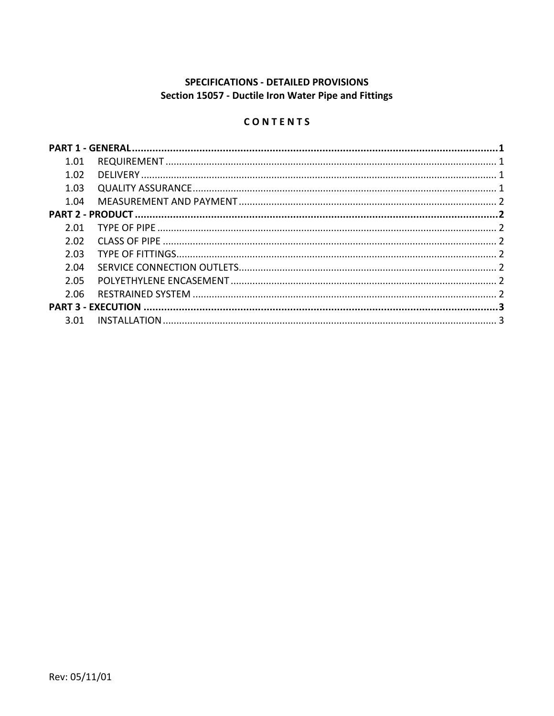# SPECIFICATIONS - DETAILED PROVISIONS Section 15057 - Ductile Iron Water Pipe and Fittings

## CONTENTS

| 1.01 |  |  |
|------|--|--|
| 1.02 |  |  |
| 1.03 |  |  |
| 1.04 |  |  |
|      |  |  |
| 2.01 |  |  |
| 2.02 |  |  |
| 2.03 |  |  |
| 2.04 |  |  |
| 2.05 |  |  |
| 2.06 |  |  |
|      |  |  |
| 3.01 |  |  |
|      |  |  |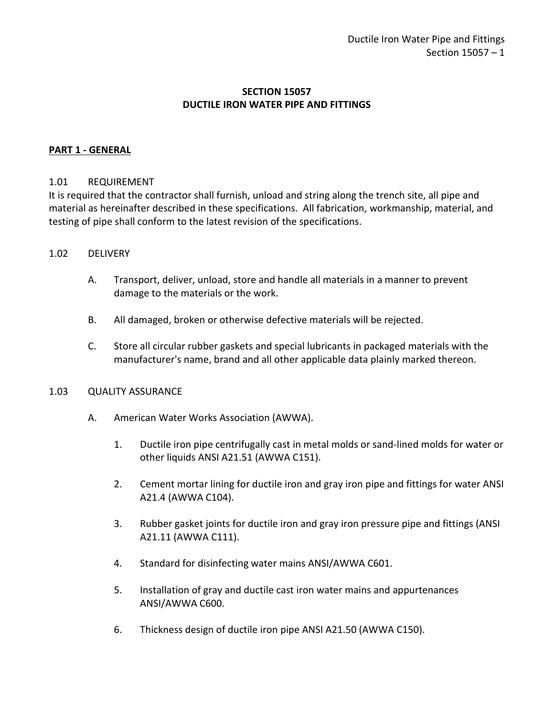### **SECTION 15057 DUCTILE IRON WATER PIPE AND FITTINGS**

#### <span id="page-2-0"></span>**PART 1 - GENERAL**

#### <span id="page-2-1"></span>1.01 REQUIREMENT

It is required that the contractor shall furnish, unload and string along the trench site, all pipe and material as hereinafter described in these specifications. All fabrication, workmanship, material, and testing of pipe shall conform to the latest revision of the specifications.

#### <span id="page-2-2"></span>1.02 DELIVERY

- A. Transport, deliver, unload, store and handle all materials in a manner to prevent damage to the materials or the work.
- B. All damaged, broken or otherwise defective materials will be rejected.
- C. Store all circular rubber gaskets and special lubricants in packaged materials with the manufacturer's name, brand and all other applicable data plainly marked thereon.

#### <span id="page-2-3"></span>1.03 QUALITY ASSURANCE

- A. American Water Works Association (AWWA).
	- 1. Ductile iron pipe centrifugally cast in metal molds or sand-lined molds for water or other liquids ANSI A21.51 (AWWA C151).
	- 2. Cement mortar lining for ductile iron and gray iron pipe and fittings for water ANSI A21.4 (AWWA C104).
	- 3. Rubber gasket joints for ductile iron and gray iron pressure pipe and fittings (ANSI A21.11 (AWWA C111).
	- 4. Standard for disinfecting water mains ANSI/AWWA C601.
	- 5. Installation of gray and ductile cast iron water mains and appurtenances ANSI/AWWA C600.
	- 6. Thickness design of ductile iron pipe ANSI A21.50 (AWWA C150).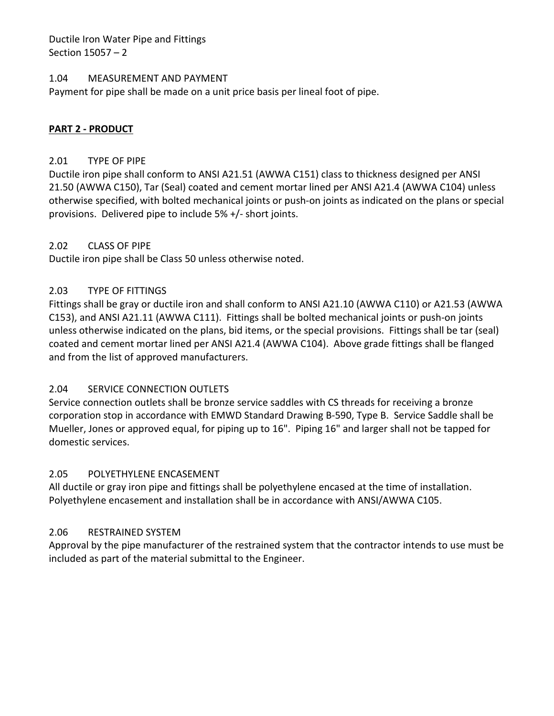Ductile Iron Water Pipe and Fittings Section 15057 – 2

#### <span id="page-3-0"></span>1.04 MEASUREMENT AND PAYMENT

<span id="page-3-1"></span>Payment for pipe shall be made on a unit price basis per lineal foot of pipe.

### **PART 2 - PRODUCT**

#### <span id="page-3-2"></span>2.01 TYPE OF PIPE

Ductile iron pipe shall conform to ANSI A21.51 (AWWA C151) class to thickness designed per ANSI 21.50 (AWWA C150), Tar (Seal) coated and cement mortar lined per ANSI A21.4 (AWWA C104) unless otherwise specified, with bolted mechanical joints or push-on joints as indicated on the plans or special provisions. Delivered pipe to include 5% +/- short joints.

#### <span id="page-3-3"></span>2.02 CLASS OF PIPE

Ductile iron pipe shall be Class 50 unless otherwise noted.

### <span id="page-3-4"></span>2.03 TYPE OF FITTINGS

Fittings shall be gray or ductile iron and shall conform to ANSI A21.10 (AWWA C110) or A21.53 (AWWA C153), and ANSI A21.11 (AWWA C111). Fittings shall be bolted mechanical joints or push-on joints unless otherwise indicated on the plans, bid items, or the special provisions. Fittings shall be tar (seal) coated and cement mortar lined per ANSI A21.4 (AWWA C104). Above grade fittings shall be flanged and from the list of approved manufacturers.

### <span id="page-3-5"></span>2.04 SERVICE CONNECTION OUTLETS

Service connection outlets shall be bronze service saddles with CS threads for receiving a bronze corporation stop in accordance with EMWD Standard Drawing B-590, Type B. Service Saddle shall be Mueller, Jones or approved equal, for piping up to 16". Piping 16" and larger shall not be tapped for domestic services.

#### <span id="page-3-6"></span>2.05 POLYETHYLENE ENCASEMENT

All ductile or gray iron pipe and fittings shall be polyethylene encased at the time of installation. Polyethylene encasement and installation shall be in accordance with ANSI/AWWA C105.

### <span id="page-3-7"></span>2.06 RESTRAINED SYSTEM

Approval by the pipe manufacturer of the restrained system that the contractor intends to use must be included as part of the material submittal to the Engineer.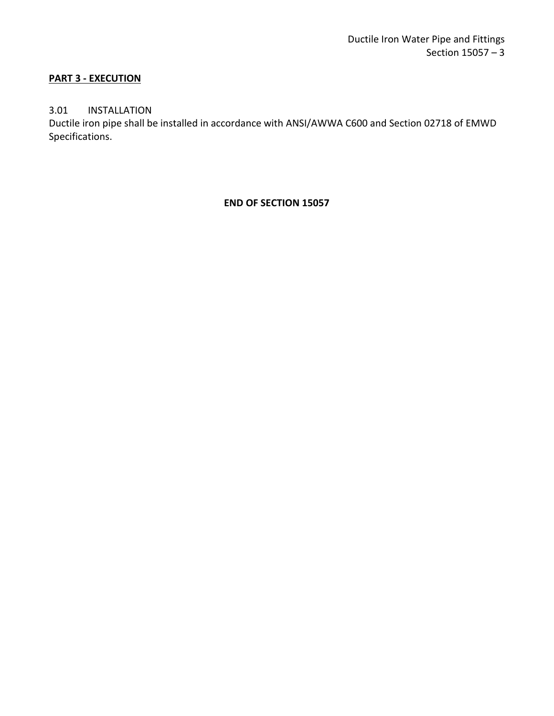### <span id="page-4-0"></span>**PART 3 - EXECUTION**

### <span id="page-4-1"></span>3.01 INSTALLATION

Ductile iron pipe shall be installed in accordance with ANSI/AWWA C600 and Section 02718 of EMWD Specifications.

**END OF SECTION 15057**